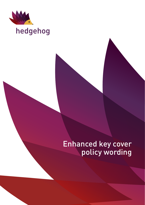

# hedgehog

# Enhanced key cover policy wording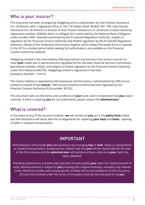### Who is your insurer?

This insurance has been arranged by Hedgehog and is underwritten by Inter Partner Assistance S.A. UK Branch, with a registered office at 106-118 Station Road, Redhill, RH1 1PR. Inter Partner Assistance S.A. UK Branch is a Branch of Inter Partner Assistance S.A. (Financial Conduct Authority registration number 202664), which is a Belgian firm authorised by the National Bank of Belgium under number 0487. Deemed authorised by the Prudential Regulation Authority. Subject to regulation by the Financial Conduct Authority and limited regulation by the Prudential Regulation Authority. Details of the Temporary Permissions Regime, which allows EEA-based firms to operate in the UK for a limited period while seeking full authorisation, are available on the Financial Conduct Authority's website.

Hedgehog Limited is the intermediary offering products and services from various insurers to meet **your** needs and is authorised and regulated by the Gibraltar Financial Services Commission (permission number 23626), and subject to limited regulation by the Financial Conduct Authority under firm reference 845706. Hedgehog Limited is registered in Gibraltar (Company Number: 115412).

The Claims helpline is operated by AXA Assistance and the policy is administered by URIS Group Limited on behalf of the **insurer**. URIS Group Limited are authorised and regulated by the Financial Conduct Authority (FCA) number 307332.

This document sets out the terms and conditions of **your** cover and it is important that **you** read it carefully. If there is anything **you** do not understand, please contact the **administrator**.

### What is covered?

In the event of any of the Insured Incidents, **we** will reimburse **you** up to the **policy limit** stated and AXA Assistance will assist with the arrangements for replacing **your keys** and **locks**, opening of safes or onward transportation.

# IMPORTANT

AXA Assistance will provide **you** with assistance by arranging **key** or **lock**, repair or replacement, or onward transportation as appropriate. Please note that **you** will be responsible for all costs in the first instance and the **administrator** will reimburse these costs once **your** claim has been validated.

Providing assistance is a service only and does not pre-qualify **your** claim for reimbursement of costs. Reimbursement is subject to **you** providing the original invoice(s), receipt(s), any relevant crime reference number and complying with all other terms and conditions of this insurance. All costs not covered under the terms of this policy must be met and paid for by **you**.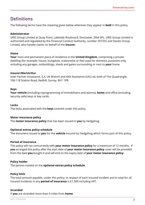### **Definitions**

The following terms have the meaning given below wherever they appear in **bold** in this policy.

#### **Administrator**

URIS Group Limited at Quay Point, Lakeside Boulevard, Doncaster, DN4 5PL. URIS Group Limited is authorised and regulated by the Financial Conduct Authority, number 307332 and Davies Group Limited, who handle claims on behalf of the **insurer**.

#### **Home**

**Your** main and permanent place of residence in the **United Kingdom**, comprising a private dwelling (for example: house, bungalow, maisonette or flat) used for domestic purposes only, including any garages, outbuildings, sheds and gates surrounding or next to **your** home.

#### **Insurer/We/Us/Our**

Inter Partner Assistance, S.A. UK Branch and AXA Assistance (UK) Ltd, both of The Quadrangle, 106-118 Station Road, Redhill, Surrey, RH1 1PR.

#### **Keys**

**Your vehicle** (including reprogramming of immobilisers and alarms), **home** and office (including security safe) keys or key cards.

#### **Locks**

The locks associated with the **keys** covered under this policy.

#### **Motor insurance policy**

The **motor insurance policy** that has been issued to **you** by Hedgehog.

#### **Optional extras policy schedule**

The document issued to **you** for the **vehicle** insured by Hedgehog which forms part of this policy.

#### **Period of insurance**

This policy will run concurrently with **your motor insurance policy** for a maximum of 12 months. If **you** arranged this policy after the start date of **your motor insurance policy** cover will be provided from the date **you** bought it and will end on the expiry date of **your motor insurance policy**.

#### **Policy holder**

The person named on the **optional extras policy schedule**.

#### **Policy limit**

The total amount payable, under this policy, in respect of each Insured Incident and in total for all Insured Incidents in any **period of insurance** is £1,500 including VAT.

#### **Stranded**

If **you** are stranded more than 5 miles from **home**.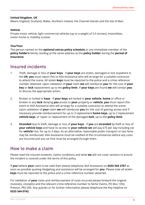#### **United Kingdom, UK**

Means England, Scotland, Wales, Northern Ireland, the Channel Islands and the Isle of Man.

#### **Vehicle**

Private motor vehicle, light commercial vehicles (up to a weight of 3.5 tonnes), motorbikes, motor home or mobility scooter.

#### **You/Your**

The person named on the **optional extras policy schedule** or any immediate member of the **policy holder's** family residing at the same address as the **policy holder** during the **period of insurance**.

### Insured incidents

- 1. Theft, damage or loss of **your keys** if **your keys** are stolen, damaged or lost anywhere in the **UK**, **you** must report this to AXA Assistance who will arrange for a suitable contractor to attend the scene. All stolen **keys** must be reported to the police and a crime reference number obtained. Upon validation of **your** claim **we** will reimburse **you** for the cost of **your key** or **lock** replacement up to the **policy limit**. If **your keys** are found **we** will contact **you** to discuss the appropriate action.
- 2. Broken or locked in **keys** If **your keys** are locked in **your vehicle**, **home** or office or broken in any **lock** denying **you** access to **your** property or **vehicle**, **you** must report this event to AXA Assistance who will arrange for a suitable contractor to attend the scene. Upon validation of **your** claim **we** will reimburse **you** for the cost of gaining access and if necessary provide reimbursement for up to 3 replacement **home keys**, up to 2 replacement **vehicle keys**, or repair or replacement of the damaged **lock**, up to the **policy limit**.
- 3. **Stranded** due to theft, damage or loss of **your keys** If **you** are **stranded** by theft or loss of **your vehicle keys** and have no access to **your vehicle we** will pay £75 per day including vat for **vehicle** hire, for up to 3 days. As an alternative, reasonable public transport or taxi fares may be reimbursed. AXA Assistance must be notified of the circumstances before any costs are incurred and any car hire must be arranged through them.

### How to make a claim

Please read the insured incidents, claims conditions and what **we** will not cover sections to ensure the incident is covered under the terms of this policy.

If **you** believe **your** claim to be valid then please telephone AXA Assistance on **0333 344 2767** as soon as possible quoting Hedgehog and assistance will be arranged for **you**. Please note all stolen **keys** must be reported to the police and a crime reference number obtained.

For validation of **your** claim and reimbursement of costs incurred please forward the original invoice(s), receipt(s) and the relevant crime reference number to Niche Claims, PO Box 1392, Preston, PR2 0XE. Any queries or for further information please telephone the Key helpline on **0333 344 0742**.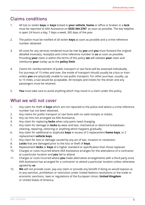# Claims conditions

- 1. All lost or stolen **keys** or **keys** locked in **your vehicle**, **home** or office or broken in a **lock** must be reported to AXA Assistance on **0333 344 2767** as soon as possible. The key helpline is open 24 hours a day, 7 days a week, 365 days of the year.
- 2. The police must be notified of all stolen **keys** as soon as possible and a crime reference number obtained.
- 3. All costs for any services rendered must be met by **you** and **you** must forward the original detailed invoice(s), receipt(s) and crime reference number to **us** as soon as possible. Providing **your** claim is within the terms of this policy **we** will validate **your** claim and reimburse **your** outlay up to the **policy limit**.
- 4. Claims for reimbursement of public transport or taxi fares will be assessed individually. For journeys of 15 miles and over, the mode of transport should usually be a bus or train unless **you** are physically unable to use public transport. For other journeys, usually, up to 15 miles, a taxi would be acceptable. All receipts and tickets for the driver and any passengers must be retained.
- 5. **You** must take care to avoid anything which may result in a claim under this policy.

### What we will not cover

- 1. Any claim for theft of **keys** which are not reported to the police and where a crime reference number has not been obtained.
- 2. Any claims for public transport or taxi fares with no valid receipts or tickets.
- 3. Any car hire not arranged via AXA Assistance.
- 4. Any claim for replacing **locks** when only parts need changing.
- 5. Any claim for damage to **locks** by wear and tear, mechanical or electrical breakdown, cleaning, repairing, restoring or anything which happens gradually.
- 6. Any claim for additional or duplicate **keys** in excess of 3 replacement **home keys**, or 2 replacement **vehicle keys**.
- 7. Any claim for loss or damage caused by any act of war, invasion or revolution.
- 8. **Locks** that are damaged prior to the loss or theft of **keys**.
- 9. Replacement **locks** or **keys** of a higher standard or specification than those replaced.
- 10. Charges or costs incurred where AXA Assistance arranges for the attendance of a contractor at a particular location and **you** fail to attend.
- 11. Charges or costs incurred where **you** make alternative arrangements with a third party once AXA Assistance has arranged for a contractor to attend a particular location unless otherwise agreed by **us**.
- 12. **We** will not provide cover, pay any claim or provide any benefit if doing so would expose us to any sanction, prohibition or restriction under United Nations resolutions or the trade or economic sanctions, laws or regulations of the European Union, **United Kingdom** or United States of America.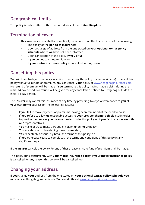## Geographical limits

This policy is only in effect within the boundaries of the **United Kingdom**.

### Termination of cover

This insurance cover shall automatically terminate upon the first to occur of the following:

- The expiry of the **period of insurance**;
- Upon a change of address from the one stated on **your optional extras policy schedule** where **we** have not been informed;
- Upon cancellation of the policy by **you** or **us**;
- If **you** do not pay the premium; or
- If **your motor insurance policy** is cancelled for any reason.

# Cancelling this policy

**You** will have 14 days from policy inception or receiving the policy document (if later) to cancel this policy with a full refund of premium. **You** can cancel **your** policy at <www.hedgehoginsurance.com>. No refund of premium will be made if **you** terminate this policy having made a claim during the initial 14 day period. No refund will be given for any cancellation notified to Hedgehog outside the initial 14 day period.

The **insurer** may cancel this insurance at any time by providing 14 days written notice to **you** at **your** own **home** address for the following reasons:

- If **you** fail to make payment of premiums, having been reminded of the need to do so;
- If **you** refuse to allow **us** reasonable access to **your** property (**home**, **vehicle** etc) in order to provide the services **you** have requested under this policy or if **you** fail to co-operate with **our** representatives;
- **You** make or try to make a fraudulent claim under **your** policy;
- **You** are abusive or threatening towards **our** staff;
- **You** repeatedly or seriously break the terms of this policy; or
- If **you** otherwise cease to comply with the terms and conditions of this policy in any significant respect.

If the **insurer** cancels the policy for any of these reasons, no refund of premium shall be made.

This policy runs concurrently with **your motor insurance policy**. If **your motor insurance policy** is cancelled for any reason this policy will be cancelled too.

## Changing your address

If **you** change **your** address from the one stated on **your optional extras policy schedule you** must advise Hedgehog immediately. **You** can do this at <www.hedgehoginsurance.com>.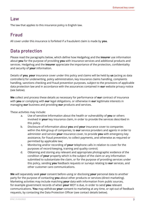### Law

The law that applies to this insurance policy is English law.

# Fraud

All cover under this insurance is forfeited if a fraudulent claim is made by **you**.

# Data protection

Please read the paragraphs below, which define how Hedgehog and the **insurer** use information about **you** for the purpose of providing **you** with insurance services and additional products and services. Hedgehog and the **insurer** appreciate the importance of the protection, confidentiality and security of **your** information.

Details of **you**, **your** insurance cover under this policy and claims will be held by **us** (acting as data controllers) for underwriting, policy administration, key insurance claims handling, complaints handling, sanctions checking and fraud prevention purposes, subject to the provisions of applicable data protection law and in accordance with the assurances contained in **our** website privacy notice (see below).

**We** collect and process these details as necessary for performance of **our** contract of insurance with **you** or complying with **our** legal obligations, or otherwise in **our** legitimate interests in managing **our** business and providing **our** products and services.

These activities may include:

- a. Use of sensitive information about the health or vulnerability of **you** or others involved in **your** key insurance claim, in order to provide the services described in this policy.
- b. Disclosure of information about **you** and **your** insurance cover to companies within the AXA group of companies, to **our** service providers and agents in order to administer and service **your** insurance cover, to provide **you** with emergency key assistance, for fraud prevention, to collect payments, and otherwise as required or permitted by applicable law;
- c. Monitoring and/or recording of **your** telephone calls in relation to cover for the purposes of record-keeping, training and quality control;
- d. Obtaining and storing any relevant and appropriate photographic evidence of the condition of **your** property which is the subject of the claim or any information submitted to substantiate the claim, or for the purpose of providing services under this policy, sending **you** feedback requests or surveys relating to **our** services, and other customer care communications.

**We** will separately seek **your** consent before using or disclosing **your** personal data to another party for the purpose of contacting **you** about other products or services (direct marketing). Marketing activities may include matching **your** data with information from public sources, for example government records of when **your** MOT is due, in order to send **you** relevant communications. **You** may withdraw **your** consent to marketing at any time, or opt-out of feedback requests, by contacting the Data Protection Officer (see contact details below).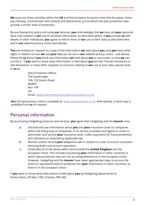**We** carry out these activities within the **UK** and the European Economic Area (the European Union plus Norway, Liechtenstein and Iceland) and Switzerland, across which the data protection laws provide a similar level of protection.

By purchasing this policy and using our services, you acknowledge that we may use your personal data, and consent to our use of sensitive information, as described above. if you provide us with details of other individuals, you agree to inform them of our use of their data as described here and in our website privacy notice (see below).

You are entitled on request to a copy of the information we hold about you, and you have other rights in relation to how we use your data (as set out in our website privacy notice - see below). Please let us know if you think any information we hold about you is inaccurate, so that we can correct it. If you want to know what information is held about you by Inter Partner Assistance or AXA Assistance, or have other requests or concerns relating to our use of your data, please write to us at:

> Data Protection Officer The Quadrangle 106-118 Station Road Redhill RH1 1PR UK Email: [dataprotectionenquiries@axa-assistance.co.uk](Mailto: dataprotectionenquiries@axa-assistance.co.uk)

**Our** full data privacy notice is available at: [www.axaassistance.co.uk.](www.axaassistance.co.uk) Alternatively, a hard copy is available from **us** on request.

## Personal information

By purchasing Hedgehog products and services, **you** agree that Hedgehog and the **insurer** may:

- a) Disclose and use information about **you** and **your** insurance cover to companies within the AXA group of companies, to its service providers and agents in order to administer and service **your** insurance cover, collect payments for fraud prevention and otherwise as required by applicable law.
- b) Monitor and/or record **your** telephone calls in relation to cover to ensure consistent servicing levels and account operation;
- c) Undertake all of the above within and outside the **United Kingdom** and the European Union. This includes processing **your** information in other countries in which data protection laws are not as comprehensive as in the European Union. However, Hedgehog and the **insurer** have taken appropriate steps to ensure the same (or equivalent) level of protection for **your** information in other countries, as there is in the European Union.

If **you** want to know what information is held about **you** by Hedgehog please write to: Niche Claims, PO Box 1392, Preston, PR2 0XE. **`**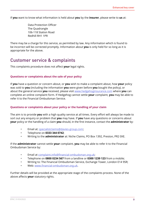If **you** want to know what information is held about **you** by the **insurer**, please write to **us** at:

Data Protection Officer The Quadrangle 106-118 Station Road Redhill RH1 1PR

There may be a charge for this service, as permitted by law. Any information which is found to be incorrect will be corrected promptly. Information about **you** is only held for so long as it is appropriate for the above.

### Customer service & complaints

This complaints procedure does not affect **your** legal rights.

#### **Questions or complaints about the sale of your policy**

If **you** have a question or concern about, or **you** wish to make a complaint about, how **your** policy was sold to **you** (including the information **you** were given before **you** bought the policy), or about the general service **you** received, please visit<www.hedgehoginsurance.com> where **you** can complete an online complaint form. If Hedgehog cannot settle **your** complaint, **you** may be able to refer it to the Financial Ombudsman Service.

#### **Questions or complaints about your policy or the handling of your claim**

The aim is to provide **you** with a high quality service at all times. Every effort will always be made to sort out any enquiry or problem that **you** may have. If **you** have any questions or concerns about **your** policy or the handling of a claim **you** should, in the first instance, contact the **administrator** by:

- Email at: [specialistclaims@davies-group.com](Mailto: motor@directgroup.co.uk);
- Telephone on **0333 344 0742**;
- Writing to the **administrator** at: Niche Claims, PO Box 1392, Preston, PR2 0XE.

If the **administrator** cannot settle **your** complaint, **you** may be able to refer it to the Financial Ombudsman Service by:

- Email at [complaint.info@financial-ombudsman.org.uk](Mailto: complaint.info@financial-ombudsman.org.uk);
- Telephone on **0800 0234 567** from a landline or **0300 1239 123** from a mobile;
- Writing to: The Financial Ombudsman Service, Exchange Tower, London E14 9SR;
- Web: <www.financial-ombudsman.org.uk>.

Further details will be provided at the appropriate stage of the complaints process. None of the above affects **your** statutory rights.